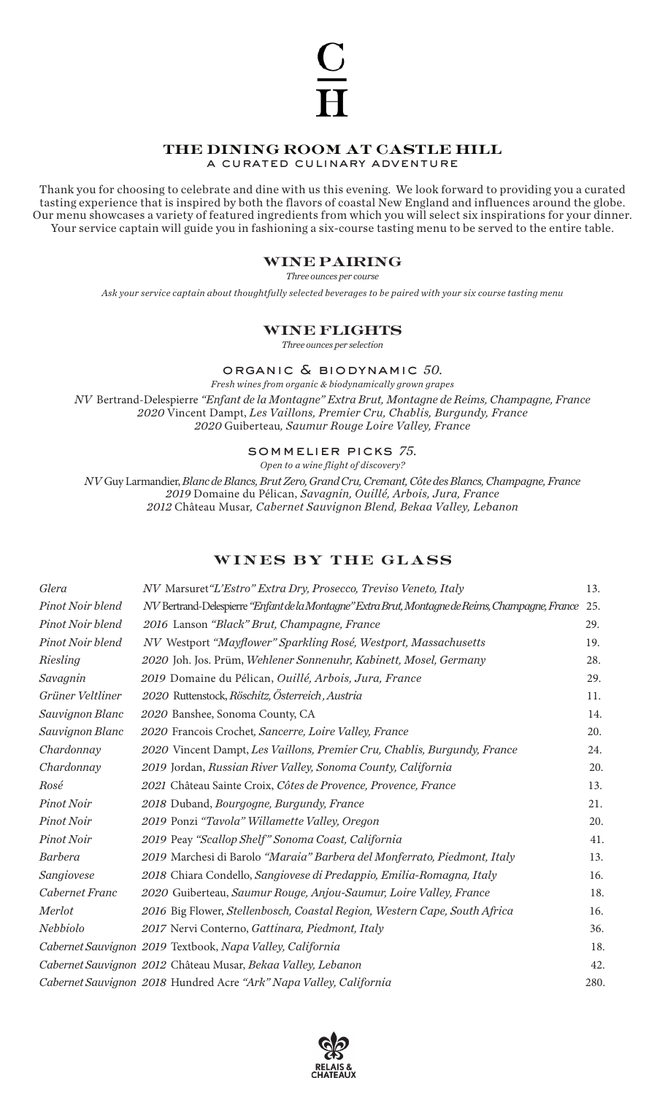# the dining room at castle hill

a curated culinary adventure

Thank you for choosing to celebrate and dine with us this evening. We look forward to providing you a curated tasting experience that is inspired by both the flavors of coastal New England and influences around the globe. Our menu showcases a variety of featured ingredients from which you will select six inspirations for your dinner. Your service captain will guide you in fashioning a six-course tasting menu to be served to the entire table.

# wine pairing

*Three ounces per course*

*Ask your service captain about thoughtfully selected beverages to be paired with your six course tasting menu*

# wine flights

*Three ounces per selection*

organic & biodynamic *50.*

*Fresh wines from organic & biodynamically grown grapes NV* Bertrand-Delespierre *"Enfant de la Montagne" Extra Brut, Montagne de Reims, Champagne, France 2020* Vincent Dampt, *Les Vaillons, Premier Cru, Chablis, Burgundy, France 2020* Guiberteau*, Saumur Rouge Loire Valley, France* 

sommelier picks *75.*

*Open to a wine flight of discovery?* 

*NV* Guy Larmandier, *Blanc de Blancs, Brut Zero, Grand Cru, Cremant, Côte des Blancs, Champagne, France 2019* Domaine du Pélican, *Savagnin, Ouillé, Arbois, Jura, France 2012* Château Musar*, Cabernet Sauvignon Blend, Bekaa Valley, Lebanon*

# wines by the glass

| Glera            | NV Marsuret "L'Estro" Extra Dry, Prosecco, Treviso Veneto, Italy                                 | 13.  |
|------------------|--------------------------------------------------------------------------------------------------|------|
| Pinot Noir blend | NV Bertrand-Delespierre "Enfant de la Montagne" Extra Brut, Montagne de Reims, Champagne, France | 25.  |
| Pinot Noir blend | 2016 Lanson "Black" Brut, Champagne, France                                                      | 29.  |
| Pinot Noir blend | NV Westport "Mayflower" Sparkling Rosé, Westport, Massachusetts                                  | 19.  |
| Riesling         | 2020 Joh. Jos. Prüm, Wehlener Sonnenuhr, Kabinett, Mosel, Germany                                | 28.  |
| Savagnin         | 2019 Domaine du Pélican, Quillé, Arbois, Jura, France                                            | 29.  |
| Grüner Veltliner | 2020 Ruttenstock, Röschitz, Österreich, Austria                                                  | 11.  |
| Sauvignon Blanc  | 2020 Banshee, Sonoma County, CA                                                                  | 14.  |
| Sauvignon Blanc  | 2020 Francois Crochet, Sancerre, Loire Valley, France                                            | 20.  |
| Chardonnay       | 2020 Vincent Dampt, Les Vaillons, Premier Cru, Chablis, Burgundy, France                         | 24.  |
| Chardonnay       | 2019 Jordan, Russian River Valley, Sonoma County, California                                     | 20.  |
| Rosé             | 2021 Château Sainte Croix, Côtes de Provence, Provence, France                                   | 13.  |
| Pinot Noir       | 2018 Duband, Bourgogne, Burgundy, France                                                         | 21.  |
| Pinot Noir       | 2019 Ponzi "Tavola" Willamette Valley, Oregon                                                    | 20.  |
| Pinot Noir       | 2019 Peay "Scallop Shelf" Sonoma Coast, California                                               | 41.  |
| <b>Barbera</b>   | 2019 Marchesi di Barolo "Maraia" Barbera del Monferrato, Piedmont, Italy                         | 13.  |
| Sangiovese       | 2018 Chiara Condello, Sangiovese di Predappio, Emilia-Romagna, Italy                             | 16.  |
| Cabernet Franc   | 2020 Guiberteau, Saumur Rouge, Anjou-Saumur, Loire Valley, France                                | 18.  |
| Merlot           | 2016 Big Flower, Stellenbosch, Coastal Region, Western Cape, South Africa                        | 16.  |
| Nebbiolo         | 2017 Nervi Conterno, Gattinara, Piedmont, Italy                                                  | 36.  |
|                  | Cabernet Sauvignon 2019 Textbook, Napa Valley, California                                        | 18.  |
|                  | Cabernet Sauvignon 2012 Château Musar, Bekaa Valley, Lebanon                                     | 42.  |
|                  | Cabernet Sauvignon 2018 Hundred Acre "Ark" Napa Valley, California                               | 280. |